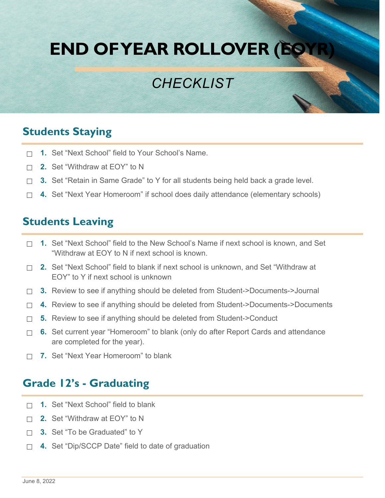# **END OF YEAR ROLLOVER (EOYR)**

## *CHECKLIST*

### **Students Staying**

- ☐ **1.** Set "Next School" field to Your School's Name.
- ☐ **2.** Set "Withdraw at EOY" to N
- ☐ **3.** Set "Retain in Same Grade" to Y for all students being held back a grade level.
- ☐ **4.** Set "Next Year Homeroom" if school does daily attendance (elementary schools)

#### **Students Leaving**

- ☐ **1.** Set "Next School" field to the New School's Name if next school is known, and Set "Withdraw at EOY to N if next school is known.
- ☐ **2.** Set "Next School" field to blank if next school is unknown, and Set "Withdraw at EOY" to Y if next school is unknown
- ☐ **3.** Review to see if anything should be deleted from Student->Documents->Journal
- ☐ **4.** Review to see if anything should be deleted from Student->Documents->Documents
- ☐ **5.** Review to see if anything should be deleted from Student->Conduct
- □ **6.** Set current year "Homeroom" to blank (only do after Report Cards and attendance are completed for the year).
- ☐ **7.** Set "Next Year Homeroom" to blank

#### **Grade 12's - Graduating**

- ☐ **1.** Set "Next School" field to blank
- ☐ **2.** Set "Withdraw at EOY" to N
- ☐ **3.** Set "To be Graduated" to Y
- ☐ **4.** Set "Dip/SCCP Date" field to date of graduation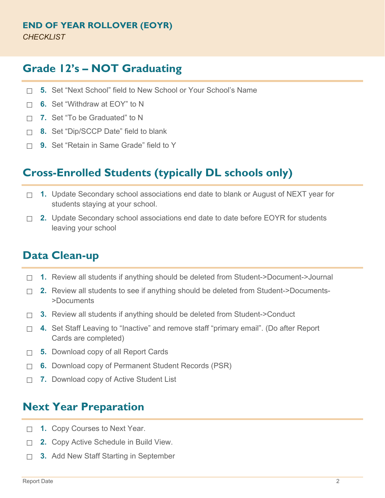#### **Grade 12's – NOT Graduating**

- ☐ **5.** Set "Next School" field to New School or Your School's Name
- ☐ **6.** Set "Withdraw at EOY" to N
- ☐ **7.** Set "To be Graduated" to N
- ☐ **8.** Set "Dip/SCCP Date" field to blank
- ☐ **9.** Set "Retain in Same Grade" field to Y

#### **Cross-Enrolled Students (typically DL schools only)**

- ☐ **1.** Update Secondary school associations end date to blank or August of NEXT year for students staying at your school.
- ☐ **2.** Update Secondary school associations end date to date before EOYR for students leaving your school

#### **Data Clean-up**

- ☐ **1.** Review all students if anything should be deleted from Student->Document->Journal
- ☐ **2.** Review all students to see if anything should be deleted from Student->Documents- >Documents
- ☐ **3.** Review all students if anything should be deleted from Student->Conduct
- ☐ **4.** Set Staff Leaving to "Inactive" and remove staff "primary email". (Do after Report Cards are completed)
- ☐ **5.** Download copy of all Report Cards
- ☐ **6.** Download copy of Permanent Student Records (PSR)
- ☐ **7.** Download copy of Active Student List

#### **Next Year Preparation**

- ☐ **1.** Copy Courses to Next Year.
- ☐ **2.** Copy Active Schedule in Build View.
- ☐ **3.** Add New Staff Starting in September